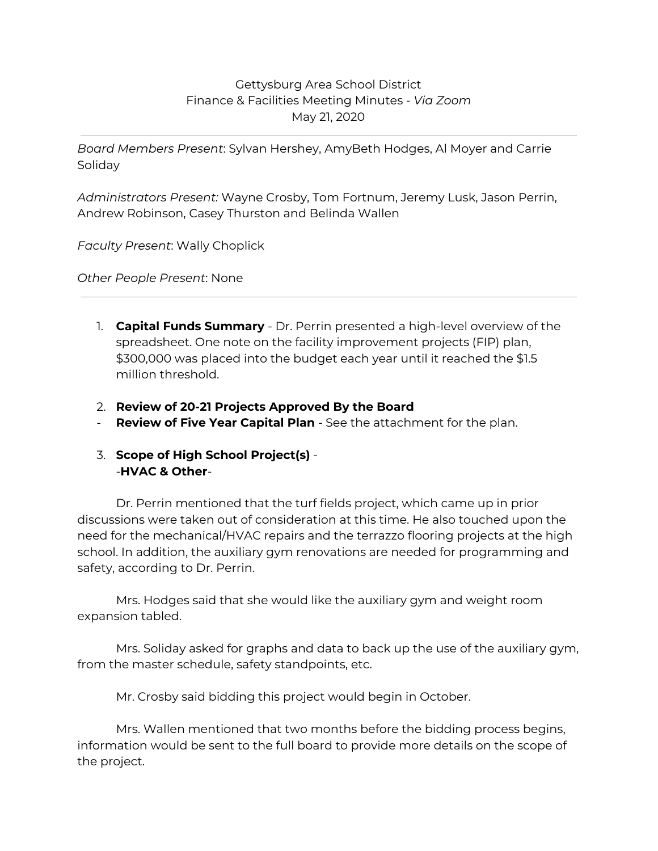## Gettysburg Area School District Finance & Facilities Meeting Minutes - *Via Zoom* May 21, 2020

*Board Members Present*: Sylvan Hershey, AmyBeth Hodges, Al Moyer and Carrie Soliday

*Administrators Present:* Wayne Crosby, Tom Fortnum, Jeremy Lusk, Jason Perrin, Andrew Robinson, Casey Thurston and Belinda Wallen

*Faculty Present*: Wally Choplick

*Other People Present*: None

- 1. **Capital Funds Summary** Dr. Perrin presented a high-level overview of the spreadsheet. One note on the facility improvement projects (FIP) plan, \$300,000 was placed into the budget each year until it reached the \$1.5 million threshold.
- 2. **Review of 20-21 Projects Approved By the Board**
- **Review of Five Year Capital Plan** See the attachment for the plan.

## 3. **Scope of High School Project(s)** - -**HVAC & Other**-

Dr. Perrin mentioned that the turf fields project, which came up in prior discussions were taken out of consideration at this time. He also touched upon the need for the mechanical/HVAC repairs and the terrazzo flooring projects at the high school. In addition, the auxiliary gym renovations are needed for programming and safety, according to Dr. Perrin.

Mrs. Hodges said that she would like the auxiliary gym and weight room expansion tabled.

Mrs. Soliday asked for graphs and data to back up the use of the auxiliary gym, from the master schedule, safety standpoints, etc.

Mr. Crosby said bidding this project would begin in October.

Mrs. Wallen mentioned that two months before the bidding process begins, information would be sent to the full board to provide more details on the scope of the project.